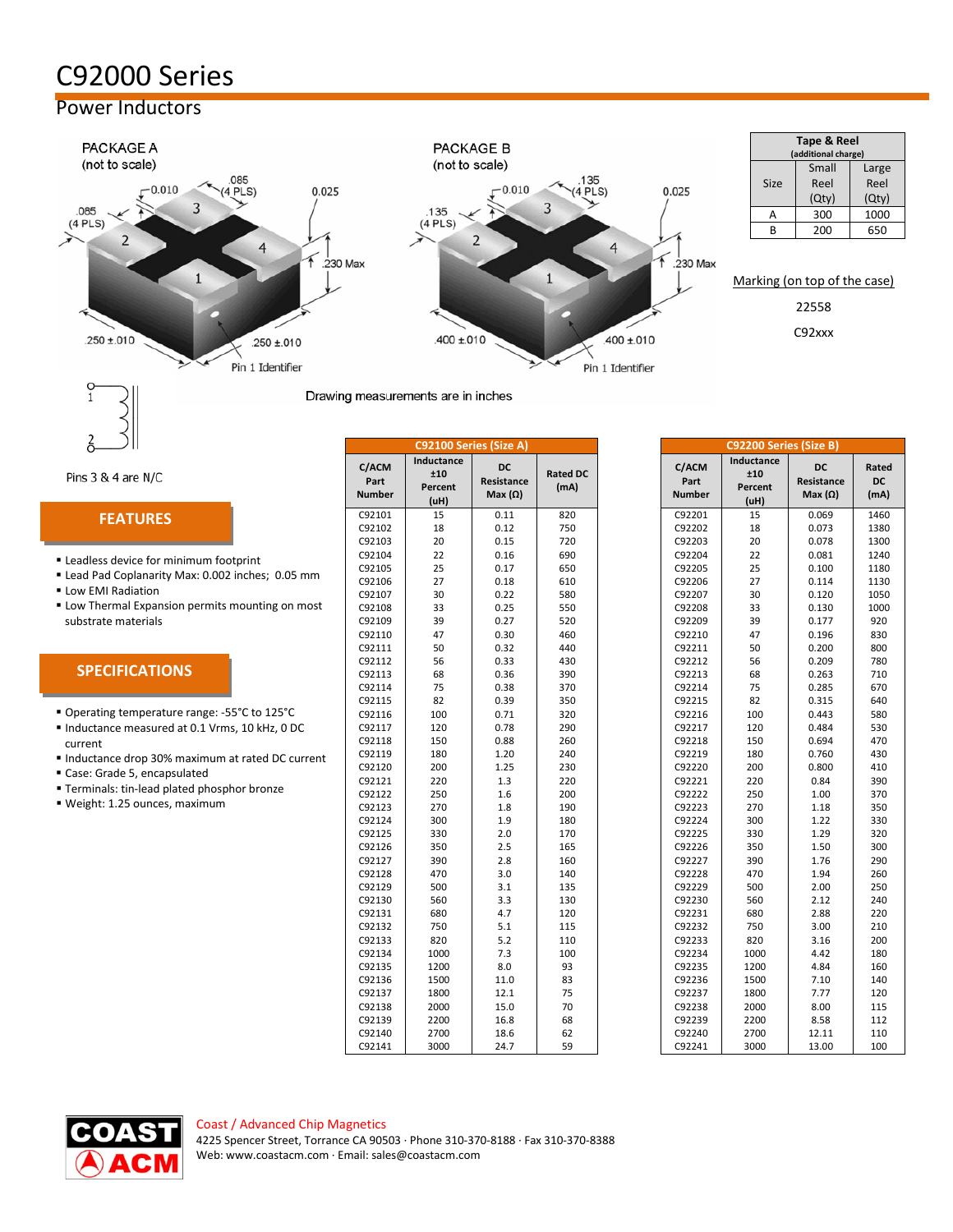# C92000 Series

## Power Inductors



|             | Tape & Reel<br>(additional charge) |       |
|-------------|------------------------------------|-------|
|             | Small                              | Large |
| <b>Size</b> | Reel                               | Reel  |
|             | (Qty)                              | (Qty) |
|             | 300                                | 1000  |
| R           | 200                                | 650   |

Marking (on top of the case) 22558

C92xxx

Drawing measurements are in inches

 $135$ 

 $(4$  PLS)

 $\overline{4}$ 

 $.400 \pm 010$ 

Pin 1 Identifier

 $0.025$ 

.230 Max

Pins 3 & 4 are N/C

#### **FEATURES**

- **ELeadless device for minimum footprint**
- **E** Lead Pad Coplanarity Max: 0.002 inches; 0.05 mm
- **Low EMI Radiation**
- **ELOW Thermal Expansion permits mounting on most** substrate materials

### **SPECIFICATIONS**

- Operating temperature range: -55°C to 125°C
- Inductance measured at 0.1 Vrms, 10 kHz, 0 DC current
- Inductance drop 30% maximum at rated DC current
- Case: Grade 5, encapsulated
- **Terminals: tin-lead plated phosphor bronze**
- Weight: 1.25 ounces, maximum

|                                | C92100 Series (Size A)               |                                    |                         |                                | C92200 Series (Size B)               |                                    |                   |
|--------------------------------|--------------------------------------|------------------------------------|-------------------------|--------------------------------|--------------------------------------|------------------------------------|-------------------|
| C/ACM<br>Part<br><b>Number</b> | Inductance<br>±10<br>Percent<br>(uH) | DC<br>Resistance<br>Max $(\Omega)$ | <b>Rated DC</b><br>(mA) | C/ACM<br>Part<br><b>Number</b> | Inductance<br>±10<br>Percent<br>(uH) | DC<br>Resistance<br>Max $(\Omega)$ | Rate<br>DC<br>(mA |
| C92101                         | 15                                   | 0.11                               | 820                     | C92201                         | 15                                   | 0.069                              | 146               |
| C92102                         | 18                                   | 0.12                               | 750                     | C92202                         | 18                                   | 0.073                              | 1380              |
| C92103                         | 20                                   | 0.15                               | 720                     | C92203                         | 20                                   | 0.078                              | 130               |
| C92104                         | 22                                   | 0.16                               | 690                     | C92204                         | 22                                   | 0.081                              | 124               |
| C92105                         | 25                                   | 0.17                               | 650                     | C92205                         | 25                                   | 0.100                              | 118               |
| C92106                         | 27                                   | 0.18                               | 610                     | C92206                         | 27                                   | 0.114                              | 113               |
| C92107                         | 30                                   | 0.22                               | 580                     | C92207                         | 30                                   | 0.120                              | 105               |
| C92108                         | 33                                   | 0.25                               | 550                     | C92208                         | 33                                   | 0.130                              | 100               |
| C92109                         | 39                                   | 0.27                               | 520                     | C92209                         | 39                                   | 0.177                              | 920               |
| C92110                         | 47                                   | 0.30                               | 460                     | C92210                         | 47                                   | 0.196                              | 830               |
| C92111                         | 50                                   | 0.32                               | 440                     | C92211                         | 50                                   | 0.200                              | 800               |
| C92112                         | 56                                   | 0.33                               | 430                     | C92212                         | 56                                   | 0.209                              | 780               |
| C92113                         | 68                                   | 0.36                               | 390                     | C92213                         | 68                                   | 0.263                              | 710               |
| C92114                         | 75                                   | 0.38                               | 370                     | C92214                         | 75                                   | 0.285                              | 670               |
| C92115                         | 82                                   | 0.39                               | 350                     | C92215                         | 82                                   | 0.315                              | 640               |
| C92116                         | 100                                  | 0.71                               | 320                     | C92216                         | 100                                  | 0.443                              | 580               |
| C92117                         | 120                                  | 0.78                               | 290                     | C92217                         | 120                                  | 0.484                              | 530               |
| C92118                         | 150                                  | 0.88                               | 260                     | C92218                         | 150                                  | 0.694                              | 470               |
| C92119                         | 180                                  | 1.20                               | 240                     | C92219                         | 180                                  | 0.760                              | 430               |
| C92120                         | 200                                  | 1.25                               | 230                     | C92220                         | 200                                  | 0.800                              | 410               |
| C92121                         | 220                                  | 1.3                                | 220                     | C92221                         | 220                                  | 0.84                               | 390               |
| C92122                         | 250                                  | 1.6                                | 200                     | C92222                         | 250                                  | 1.00                               | 370               |
| C92123                         | 270                                  | 1.8                                | 190                     | C92223                         | 270                                  | 1.18                               | 350               |
| C92124                         | 300                                  | 1.9                                | 180                     | C92224                         | 300                                  | 1.22                               | 330               |
| C92125                         | 330                                  | 2.0                                | 170                     | C92225                         | 330                                  | 1.29                               | 320               |
| C92126                         | 350                                  | 2.5                                | 165                     | C92226                         | 350                                  | 1.50                               | 300               |
| C92127                         | 390                                  | 2.8                                | 160                     | C92227                         | 390                                  | 1.76                               | 290               |
| C92128                         | 470                                  | 3.0                                | 140                     | C92228                         | 470                                  | 1.94                               | 260               |
| C92129                         | 500                                  | 3.1                                | 135                     | C92229                         | 500                                  | 2.00                               | 250               |
| C92130                         | 560                                  | 3.3                                | 130                     | C92230                         | 560                                  | 2.12                               | 240               |
| C92131                         | 680                                  | 4.7                                | 120                     | C92231                         | 680                                  | 2.88                               | 220               |
| C92132                         | 750                                  | 5.1                                | 115                     | C92232                         | 750                                  | 3.00                               | 210               |
| C92133                         | 820                                  | 5.2                                | 110                     | C92233                         | 820                                  | 3.16                               | 200               |
| C92134                         | 1000                                 | 7.3                                | 100                     | C92234                         | 1000                                 | 4.42                               | 180               |
| C92135                         | 1200                                 | 8.0                                | 93                      | C92235                         | 1200                                 | 4.84                               | 160               |
| C92136                         | 1500                                 | 11.0                               | 83                      | C92236                         | 1500                                 | 7.10                               | 140               |
| C92137                         | 1800                                 | 12.1                               | 75                      | C92237                         | 1800                                 | 7.77                               | 120               |
| C92138                         | 2000                                 | 15.0                               | 70                      | C92238                         | 2000                                 | 8.00                               | 115               |
| C92139                         | 2200                                 | 16.8                               | 68                      | C92239                         | 2200                                 | 8.58                               | 112               |
| C92140                         | 2700                                 | 18.6                               | 62                      | C92240                         | 2700                                 | 12.11                              | 110               |
| C92141                         | 3000                                 | 24.7                               | 59                      | C92241                         | 3000                                 | 13.00                              | 100               |

|                                |                                      | C92100 Series (Size A)                    |                         |
|--------------------------------|--------------------------------------|-------------------------------------------|-------------------------|
| C/ACM<br>Part<br><b>Number</b> | Inductance<br>±10<br>Percent<br>(uH) | <b>DC</b><br>Resistance<br>Max $(\Omega)$ | <b>Rated DC</b><br>(mA) |
| C92101                         | 15                                   | 0.11                                      | 820                     |
| C92102                         | 18                                   | 0.12                                      | 750                     |
| C92103                         | 20                                   | 0.15                                      | 720                     |
| C92104                         | 22                                   | 0.16                                      | 690                     |
| C92105                         | 25                                   | 0.17                                      | 650                     |
| C92106                         | 27                                   | 0.18                                      | 610                     |
| C92107                         | 30                                   | 0.22                                      | 580                     |
| C92108                         | 33                                   | 0.25                                      | 550                     |
| C92109                         | 39                                   | 0.27                                      | 520                     |
| C92110                         | 47                                   | 0.30                                      | 460                     |
| C92111                         | 50                                   | 0.32                                      | 440                     |
| C92112                         | 56                                   | 0.33                                      | 430                     |
| C92113                         | 68                                   | 0.36                                      | 390                     |
| C92114                         | 75                                   | 0.38                                      | 370                     |
| C92115                         | 82                                   | 0.39                                      | 350                     |
| C92116                         | 100                                  | 0.71                                      | 320                     |
| C92117                         | 120                                  | 0.78                                      | 290                     |
| C92118                         | 150                                  | 0.88                                      | 260                     |
| C92119                         | 180                                  | 1.20                                      | 240                     |
| C92120                         | 200                                  | 1.25                                      | 230                     |
| C92121                         | 220                                  | 1.3                                       | 220                     |
| C92122                         | 250                                  | 1.6                                       | 200                     |
| C92123                         | 270                                  | 1.8                                       | 190                     |
| C92124                         | 300                                  | 1.9                                       | 180                     |
| C92125                         | 330                                  | 2.0                                       | 170                     |
| C92126                         | 350                                  | 2.5                                       | 165                     |
| C92127                         | 390                                  | 2.8                                       | 160                     |
| C92128                         | 470                                  | 3.0                                       | 140                     |
| C92129                         | 500                                  | 3.1                                       | 135                     |
| C92130                         | 560                                  | 3.3                                       | 130                     |
| C92131                         | 680                                  | 4.7                                       | 120                     |
| C92132                         | 750                                  | 5.1                                       | 115                     |
| C92133                         | 820                                  | 5.2                                       | 110                     |
| C92134                         | 1000                                 | 7.3                                       | 100                     |
| C92135                         | 1200                                 | 8.0                                       | 93                      |
| C92136                         | 1500                                 | 11.0                                      | 83                      |
| C92137                         | 1800                                 | 12.1                                      | 75                      |
| C92138                         | 2000                                 | 15.0                                      | 70                      |
| C92139                         | 2200                                 | 16.8                                      | 68                      |
| C92140                         | 2700                                 | 18.6                                      | 62                      |
| C92141                         | 3000                                 | 247                                       | 59                      |



#### Coast / Advanced Chip Magnetics 4225 Spencer Street, Torrance CA 90503 · Phone 310-370-8188 · Fax 310-370-8388 Web[: www.coastacm.com](http://www.coastacm.com/) · Email: sales@coastacm.com